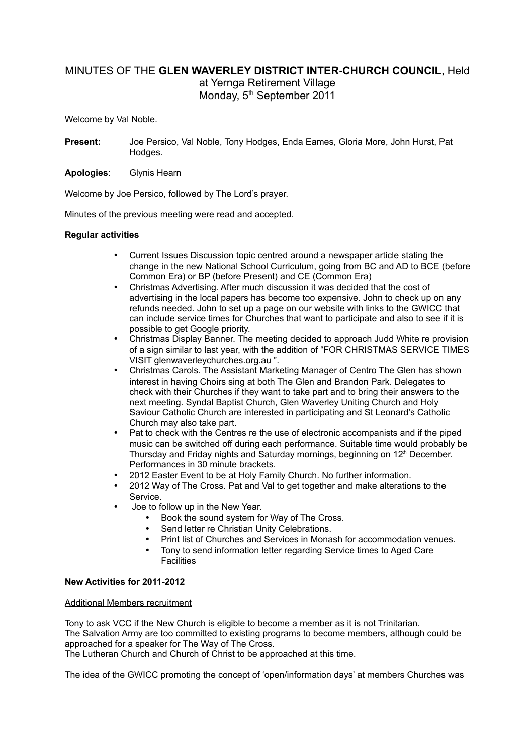# MINUTES OF THE **GLEN WAVERLEY DISTRICT INTER-CHURCH COUNCIL**, Held at Yernga Retirement Village Monday, 5<sup>th</sup> September 2011

Welcome by Val Noble.

- **Present:** Joe Persico, Val Noble, Tony Hodges, Enda Eames, Gloria More, John Hurst, Pat Hodges.
- **Apologies**: Glynis Hearn

Welcome by Joe Persico, followed by The Lord's prayer.

Minutes of the previous meeting were read and accepted.

# **Regular activities**

- Current Issues Discussion topic centred around a newspaper article stating the change in the new National School Curriculum, going from BC and AD to BCE (before Common Era) or BP (before Present) and CE (Common Era)
- Christmas Advertising. After much discussion it was decided that the cost of advertising in the local papers has become too expensive. John to check up on any refunds needed. John to set up a page on our website with links to the GWICC that can include service times for Churches that want to participate and also to see if it is possible to get Google priority.
- Christmas Display Banner. The meeting decided to approach Judd White re provision of a sign similar to last year, with the addition of "FOR CHRISTMAS SERVICE TIMES VISIT glenwaverleychurches.org.au ".
- Christmas Carols. The Assistant Marketing Manager of Centro The Glen has shown interest in having Choirs sing at both The Glen and Brandon Park. Delegates to check with their Churches if they want to take part and to bring their answers to the next meeting. Syndal Baptist Church, Glen Waverley Uniting Church and Holy Saviour Catholic Church are interested in participating and St Leonard's Catholic Church may also take part.
- Pat to check with the Centres re the use of electronic accompanists and if the piped music can be switched off during each performance. Suitable time would probably be Thursday and Friday nights and Saturday mornings, beginning on 12<sup>th</sup> December. Performances in 30 minute brackets.
- 2012 Easter Event to be at Holy Family Church. No further information.
- 2012 Way of The Cross. Pat and Val to get together and make alterations to the Service.
- Joe to follow up in the New Year.
	- Book the sound system for Way of The Cross.
	- Send letter re Christian Unity Celebrations.
	- Print list of Churches and Services in Monash for accommodation venues.
	- Tony to send information letter regarding Service times to Aged Care **Facilities**

# **New Activities for 2011-2012**

# Additional Members recruitment

Tony to ask VCC if the New Church is eligible to become a member as it is not Trinitarian. The Salvation Army are too committed to existing programs to become members, although could be approached for a speaker for The Way of The Cross.

The Lutheran Church and Church of Christ to be approached at this time.

The idea of the GWICC promoting the concept of 'open/information days' at members Churches was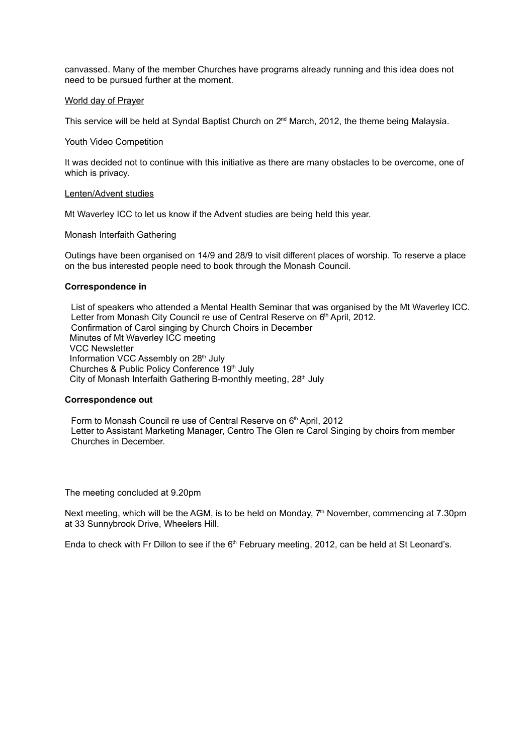canvassed. Many of the member Churches have programs already running and this idea does not need to be pursued further at the moment.

#### World day of Prayer

This service will be held at Syndal Baptist Church on 2<sup>nd</sup> March, 2012, the theme being Malaysia.

#### Youth Video Competition

It was decided not to continue with this initiative as there are many obstacles to be overcome, one of which is privacy.

#### Lenten/Advent studies

Mt Waverley ICC to let us know if the Advent studies are being held this year.

# Monash Interfaith Gathering

Outings have been organised on 14/9 and 28/9 to visit different places of worship. To reserve a place on the bus interested people need to book through the Monash Council.

#### **Correspondence in**

List of speakers who attended a Mental Health Seminar that was organised by the Mt Waverley ICC. Letter from Monash City Council re use of Central Reserve on 6th April, 2012. Confirmation of Carol singing by Church Choirs in December Minutes of Mt Waverley ICC meeting VCC Newsletter Information VCC Assembly on 28<sup>th</sup> July Churches & Public Policy Conference 19th July City of Monash Interfaith Gathering B-monthly meeting, 28<sup>th</sup> July

# **Correspondence out**

Form to Monash Council re use of Central Reserve on 6th April, 2012 Letter to Assistant Marketing Manager, Centro The Glen re Carol Singing by choirs from member Churches in December.

The meeting concluded at 9.20pm

Next meeting, which will be the AGM, is to be held on Monday,  $7<sup>th</sup>$  November, commencing at 7.30pm at 33 Sunnybrook Drive, Wheelers Hill.

Enda to check with Fr Dillon to see if the  $6<sup>th</sup>$  February meeting, 2012, can be held at St Leonard's.